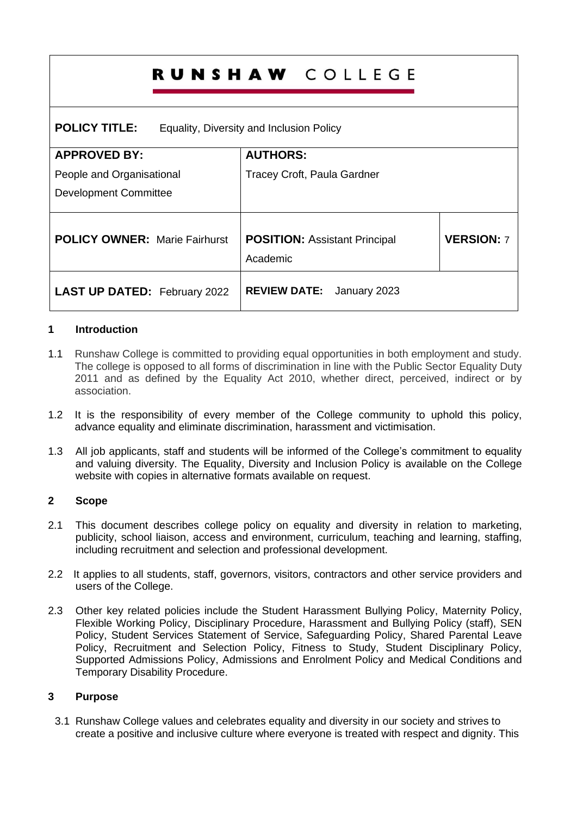|                                                                  | <b>RUNSHAW COLLEGE</b>                           |                   |
|------------------------------------------------------------------|--------------------------------------------------|-------------------|
| <b>POLICY TITLE:</b><br>Equality, Diversity and Inclusion Policy |                                                  |                   |
| <b>APPROVED BY:</b>                                              | <b>AUTHORS:</b>                                  |                   |
| People and Organisational                                        | Tracey Croft, Paula Gardner                      |                   |
| <b>Development Committee</b>                                     |                                                  |                   |
| <b>POLICY OWNER: Marie Fairhurst</b>                             | <b>POSITION: Assistant Principal</b><br>Academic | <b>VERSION: 7</b> |
| <b>LAST UP DATED: February 2022</b>                              | <b>REVIEW DATE:</b> January 2023                 |                   |

# **1 Introduction**

- 1.1 Runshaw College is committed to providing equal opportunities in both employment and study. The college is opposed to all forms of discrimination in line with the Public Sector Equality Duty 2011 and as defined by the Equality Act 2010, whether direct, perceived, indirect or by association.
- 1.2 It is the responsibility of every member of the College community to uphold this policy, advance equality and eliminate discrimination, harassment and victimisation.
- 1.3 All job applicants, staff and students will be informed of the College's commitment to equality and valuing diversity. The Equality, Diversity and Inclusion Policy is available on the College website with copies in alternative formats available on request.

## **2 Scope**

- 2.1 This document describes college policy on equality and diversity in relation to marketing, publicity, school liaison, access and environment, curriculum, teaching and learning, staffing, including recruitment and selection and professional development.
- 2.2 It applies to all students, staff, governors, visitors, contractors and other service providers and users of the College.
- 2.3 Other key related policies include the Student Harassment Bullying Policy, Maternity Policy, Flexible Working Policy, Disciplinary Procedure, Harassment and Bullying Policy (staff), SEN Policy, Student Services Statement of Service, Safeguarding Policy, Shared Parental Leave Policy, Recruitment and Selection Policy, Fitness to Study, Student Disciplinary Policy, Supported Admissions Policy, Admissions and Enrolment Policy and Medical Conditions and Temporary Disability Procedure.

## **3 Purpose**

3.1 Runshaw College values and celebrates equality and diversity in our society and strives to create a positive and inclusive culture where everyone is treated with respect and dignity. This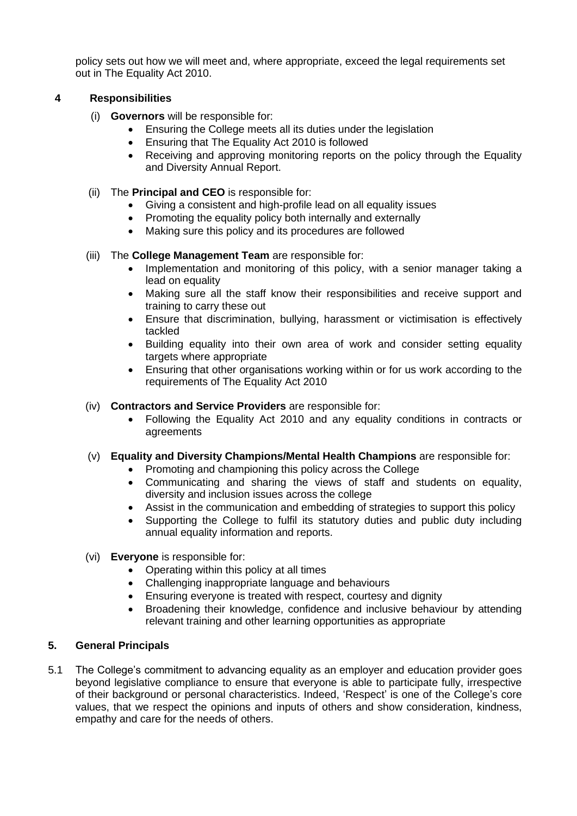policy sets out how we will meet and, where appropriate, exceed the legal requirements set out in The Equality Act 2010.

# **4 Responsibilities**

- (i) **Governors** will be responsible for:
	- Ensuring the College meets all its duties under the legislation
	- Ensuring that The Equality Act 2010 is followed
	- Receiving and approving monitoring reports on the policy through the Equality and Diversity Annual Report.
- (ii) The **Principal and CEO** is responsible for:
	- Giving a consistent and high-profile lead on all equality issues
	- Promoting the equality policy both internally and externally
	- Making sure this policy and its procedures are followed

## (iii) The **College Management Team** are responsible for:

- Implementation and monitoring of this policy, with a senior manager taking a lead on equality
- Making sure all the staff know their responsibilities and receive support and training to carry these out
- Ensure that discrimination, bullying, harassment or victimisation is effectively tackled
- Building equality into their own area of work and consider setting equality targets where appropriate
- Ensuring that other organisations working within or for us work according to the requirements of The Equality Act 2010

# (iv) **Contractors and Service Providers** are responsible for:

- Following the Equality Act 2010 and any equality conditions in contracts or agreements
- (v) **Equality and Diversity Champions/Mental Health Champions** are responsible for:
	- Promoting and championing this policy across the College
	- Communicating and sharing the views of staff and students on equality, diversity and inclusion issues across the college
	- Assist in the communication and embedding of strategies to support this policy
	- Supporting the College to fulfil its statutory duties and public duty including annual equality information and reports.
- (vi) **Everyone** is responsible for:
	- Operating within this policy at all times
	- Challenging inappropriate language and behaviours
	- Ensuring everyone is treated with respect, courtesy and dignity
	- Broadening their knowledge, confidence and inclusive behaviour by attending relevant training and other learning opportunities as appropriate

## **5. General Principals**

5.1 The College's commitment to advancing equality as an employer and education provider goes beyond legislative compliance to ensure that everyone is able to participate fully, irrespective of their background or personal characteristics. Indeed, 'Respect' is one of the College's core values, that we respect the opinions and inputs of others and show consideration, kindness, empathy and care for the needs of others.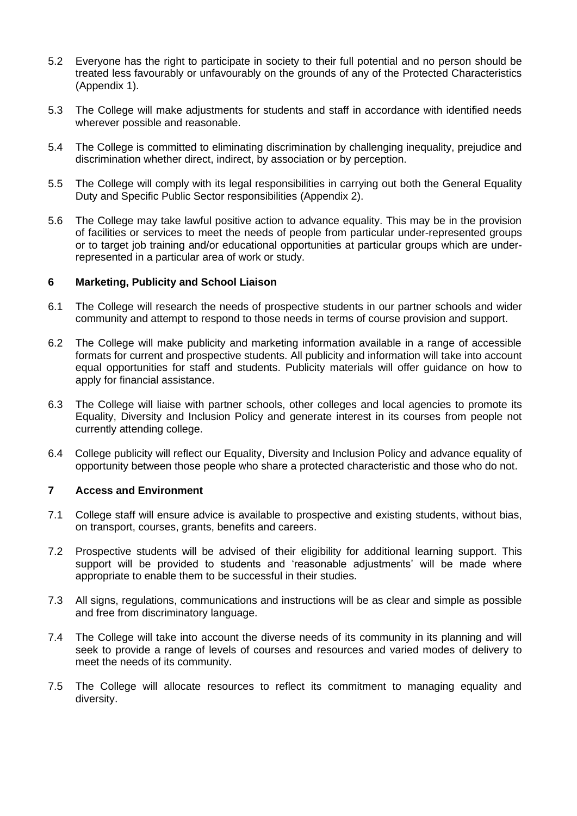- 5.2 Everyone has the right to participate in society to their full potential and no person should be treated less favourably or unfavourably on the grounds of any of the Protected Characteristics (Appendix 1).
- 5.3 The College will make adjustments for students and staff in accordance with identified needs wherever possible and reasonable.
- 5.4 The College is committed to eliminating discrimination by challenging inequality, prejudice and discrimination whether direct, indirect, by association or by perception.
- 5.5 The College will comply with its legal responsibilities in carrying out both the General Equality Duty and Specific Public Sector responsibilities (Appendix 2).
- 5.6 The College may take lawful positive action to advance equality. This may be in the provision of facilities or services to meet the needs of people from particular under-represented groups or to target job training and/or educational opportunities at particular groups which are underrepresented in a particular area of work or study.

### **6 Marketing, Publicity and School Liaison**

- 6.1 The College will research the needs of prospective students in our partner schools and wider community and attempt to respond to those needs in terms of course provision and support.
- 6.2 The College will make publicity and marketing information available in a range of accessible formats for current and prospective students. All publicity and information will take into account equal opportunities for staff and students. Publicity materials will offer guidance on how to apply for financial assistance.
- 6.3 The College will liaise with partner schools, other colleges and local agencies to promote its Equality, Diversity and Inclusion Policy and generate interest in its courses from people not currently attending college.
- 6.4 College publicity will reflect our Equality, Diversity and Inclusion Policy and advance equality of opportunity between those people who share a protected characteristic and those who do not.

#### **7 Access and Environment**

- 7.1 College staff will ensure advice is available to prospective and existing students, without bias, on transport, courses, grants, benefits and careers.
- 7.2 Prospective students will be advised of their eligibility for additional learning support. This support will be provided to students and 'reasonable adjustments' will be made where appropriate to enable them to be successful in their studies.
- 7.3 All signs, regulations, communications and instructions will be as clear and simple as possible and free from discriminatory language.
- 7.4 The College will take into account the diverse needs of its community in its planning and will seek to provide a range of levels of courses and resources and varied modes of delivery to meet the needs of its community.
- 7.5 The College will allocate resources to reflect its commitment to managing equality and diversity.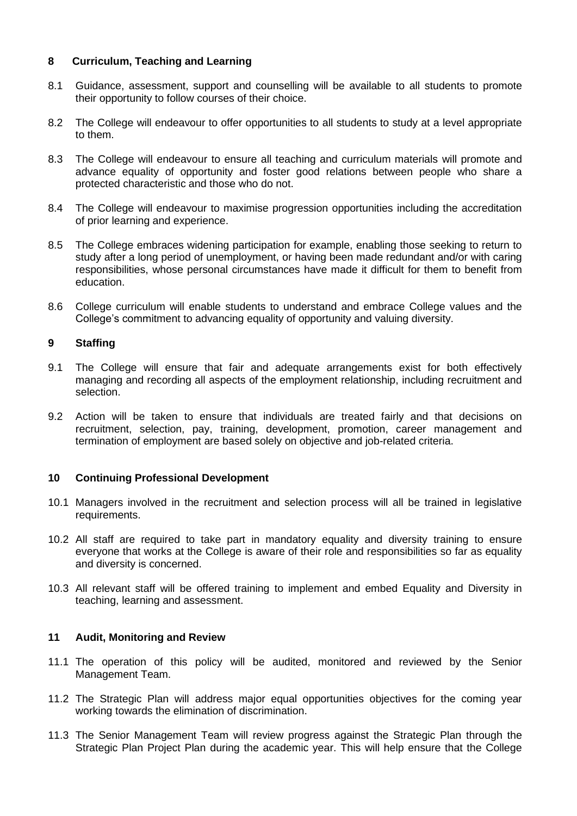## **8 Curriculum, Teaching and Learning**

- 8.1 Guidance, assessment, support and counselling will be available to all students to promote their opportunity to follow courses of their choice.
- 8.2 The College will endeavour to offer opportunities to all students to study at a level appropriate to them.
- 8.3 The College will endeavour to ensure all teaching and curriculum materials will promote and advance equality of opportunity and foster good relations between people who share a protected characteristic and those who do not.
- 8.4 The College will endeavour to maximise progression opportunities including the accreditation of prior learning and experience.
- 8.5 The College embraces widening participation for example, enabling those seeking to return to study after a long period of unemployment, or having been made redundant and/or with caring responsibilities, whose personal circumstances have made it difficult for them to benefit from education.
- 8.6 College curriculum will enable students to understand and embrace College values and the College's commitment to advancing equality of opportunity and valuing diversity.

### **9 Staffing**

- 9.1 The College will ensure that fair and adequate arrangements exist for both effectively managing and recording all aspects of the employment relationship, including recruitment and selection.
- 9.2 Action will be taken to ensure that individuals are treated fairly and that decisions on recruitment, selection, pay, training, development, promotion, career management and termination of employment are based solely on objective and job-related criteria.

## **10 Continuing Professional Development**

- 10.1 Managers involved in the recruitment and selection process will all be trained in legislative requirements.
- 10.2 All staff are required to take part in mandatory equality and diversity training to ensure everyone that works at the College is aware of their role and responsibilities so far as equality and diversity is concerned.
- 10.3 All relevant staff will be offered training to implement and embed Equality and Diversity in teaching, learning and assessment.

#### **11 Audit, Monitoring and Review**

- 11.1 The operation of this policy will be audited, monitored and reviewed by the Senior Management Team.
- 11.2 The Strategic Plan will address major equal opportunities objectives for the coming year working towards the elimination of discrimination.
- 11.3 The Senior Management Team will review progress against the Strategic Plan through the Strategic Plan Project Plan during the academic year. This will help ensure that the College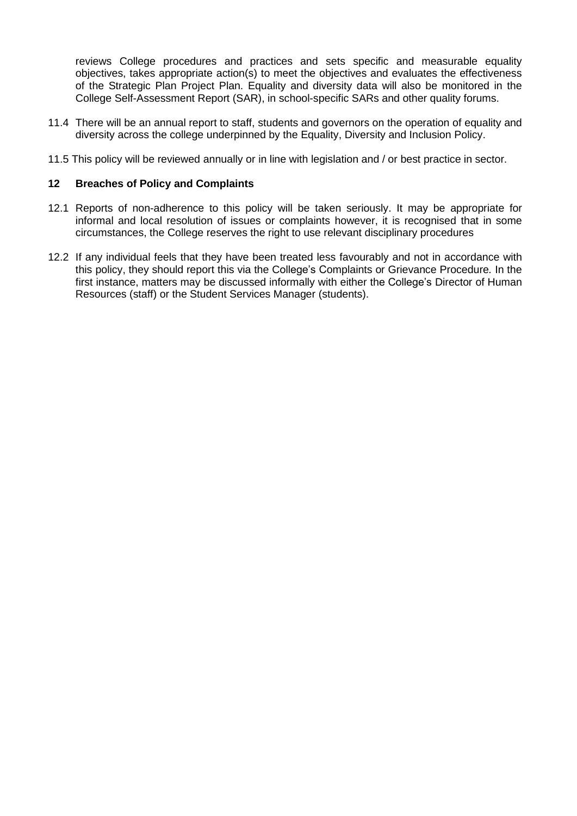reviews College procedures and practices and sets specific and measurable equality objectives, takes appropriate action(s) to meet the objectives and evaluates the effectiveness of the Strategic Plan Project Plan. Equality and diversity data will also be monitored in the College Self-Assessment Report (SAR), in school-specific SARs and other quality forums.

- 11.4 There will be an annual report to staff, students and governors on the operation of equality and diversity across the college underpinned by the Equality, Diversity and Inclusion Policy.
- 11.5 This policy will be reviewed annually or in line with legislation and / or best practice in sector.

### **12 Breaches of Policy and Complaints**

- 12.1 Reports of non-adherence to this policy will be taken seriously. It may be appropriate for informal and local resolution of issues or complaints however, it is recognised that in some circumstances, the College reserves the right to use relevant disciplinary procedures
- 12.2 If any individual feels that they have been treated less favourably and not in accordance with this policy, they should report this via the College's Complaints or Grievance Procedure*.* In the first instance, matters may be discussed informally with either the College's Director of Human Resources (staff) or the Student Services Manager (students).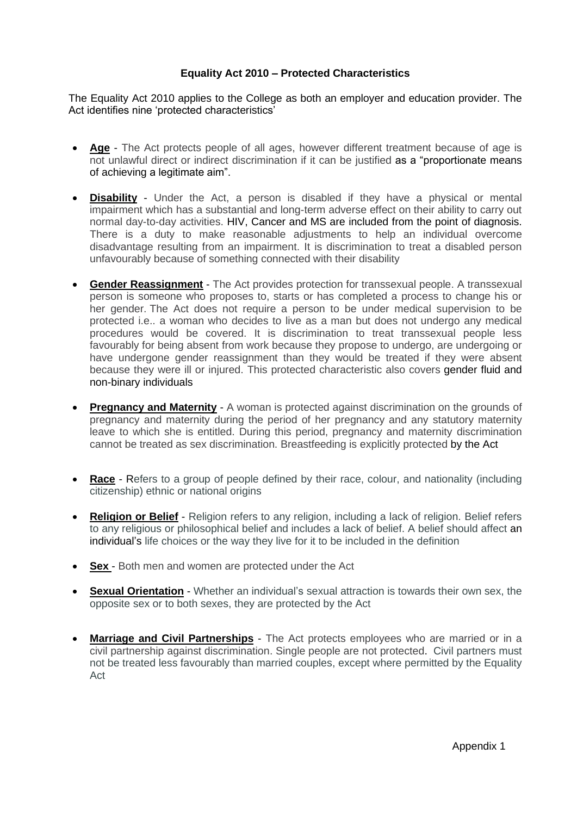### **Equality Act 2010 – Protected Characteristics**

The Equality Act 2010 applies to the College as both an employer and education provider. The Act identifies nine 'protected characteristics'

- **Age** The Act protects people of all ages, however different treatment because of age is not unlawful direct or indirect discrimination if it can be justified as a "proportionate means of achieving a legitimate aim".
- **Disability** Under the Act, a person is disabled if they have a physical or mental impairment which has a substantial and long-term adverse effect on their ability to carry out normal day-to-day activities. HIV, Cancer and MS are included from the point of diagnosis. There is a duty to make reasonable adjustments to help an individual overcome disadvantage resulting from an impairment. It is discrimination to treat a disabled person unfavourably because of something connected with their disability
- **Gender Reassignment** The Act provides protection for transsexual people. A transsexual person is someone who proposes to, starts or has completed a process to change his or her gender. The Act does not require a person to be under medical supervision to be protected i.e.. a woman who decides to live as a man but does not undergo any medical procedures would be covered. It is discrimination to treat transsexual people less favourably for being absent from work because they propose to undergo, are undergoing or have undergone gender reassignment than they would be treated if they were absent because they were ill or injured. This protected characteristic also covers gender fluid and non-binary individuals
- **Pregnancy and Maternity** A woman is protected against discrimination on the grounds of pregnancy and maternity during the period of her pregnancy and any statutory maternity leave to which she is entitled. During this period, pregnancy and maternity discrimination cannot be treated as sex discrimination. Breastfeeding is explicitly protected by the Act
- **Race** Refers to a group of people defined by their race, colour, and nationality (including citizenship) ethnic or national origins
- **Religion or Belief** Religion refers to any religion, including a lack of religion. Belief refers to any religious or philosophical belief and includes a lack of belief. A belief should affect an individual's life choices or the way they live for it to be included in the definition
- **Sex** Both men and women are protected under the Act
- **Sexual Orientation** Whether an individual's sexual attraction is towards their own sex, the opposite sex or to both sexes, they are protected by the Act
- **Marriage and Civil Partnerships** The Act protects employees who are married or in a civil partnership against discrimination. Single people are not protected. Civil partners must not be treated less favourably than married couples, except where permitted by the Equality Act